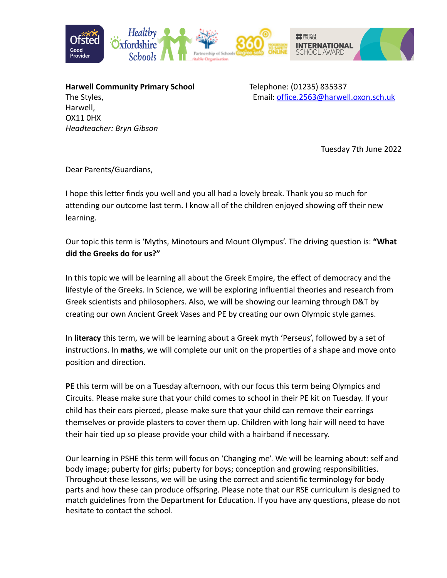

**Harwell Community Primary School** Telephone: (01235) 835337 Harwell, OX11 0HX *Headteacher: Bryn Gibson*

The Styles, Email: [office.2563@harwell.oxon.sch.uk](mailto:office.2563@harwell.oxon.sch.uk)

Tuesday 7th June 2022

Dear Parents/Guardians,

I hope this letter finds you well and you all had a lovely break. Thank you so much for attending our outcome last term. I know all of the children enjoyed showing off their new learning.

Our topic this term is 'Myths, Minotours and Mount Olympus'. The driving question is: **"What did the Greeks do for us?"**

In this topic we will be learning all about the Greek Empire, the effect of democracy and the lifestyle of the Greeks. In Science, we will be exploring influential theories and research from Greek scientists and philosophers. Also, we will be showing our learning through D&T by creating our own Ancient Greek Vases and PE by creating our own Olympic style games.

In **literacy** this term, we will be learning about a Greek myth 'Perseus', followed by a set of instructions. In **maths**, we will complete our unit on the properties of a shape and move onto position and direction.

**PE** this term will be on a Tuesday afternoon, with our focus this term being Olympics and Circuits. Please make sure that your child comes to school in their PE kit on Tuesday. If your child has their ears pierced, please make sure that your child can remove their earrings themselves or provide plasters to cover them up. Children with long hair will need to have their hair tied up so please provide your child with a hairband if necessary.

Our learning in PSHE this term will focus on 'Changing me'. We will be learning about: self and body image; puberty for girls; puberty for boys; conception and growing responsibilities. Throughout these lessons, we will be using the correct and scientific terminology for body parts and how these can produce offspring. Please note that our RSE curriculum is designed to match guidelines from the Department for Education. If you have any questions, please do not hesitate to contact the school.